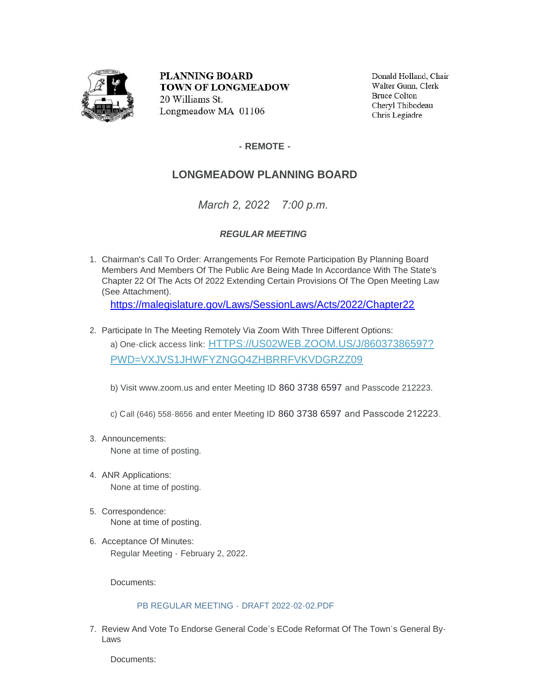

**PLANNING BOARD TOWN OF LONGMEADOW** 20 Williams St. Longmeadow MA 01106

Donald Holland, Chair Walter Gunn, Clerk **Bruce Colton** Cheryl Thibodeau Chris Legiadre

## **- REMOTE -**

## **LONGMEADOW PLANNING BOARD**

*March 2, 2022 7:00 p.m.*

## *REGULAR MEETING*

1. Chairman's Call To Order: Arrangements For Remote Participation By Planning Board Members And Members Of The Public Are Being Made In Accordance With The State's Chapter 22 Of The Acts Of 2022 Extending Certain Provisions Of The Open Meeting Law (See Attachment).

https://malegislature.gov/Laws/SessionLaws/Acts/2022/Chapter22

2. Participate In The Meeting Remotely Via Zoom With Three Different Options: a) One-click access link: [HTTPS://US02WEB.ZOOM.US/J/86037386597?](https://www.google.com/url?q=https://us02web.zoom.us/j/86037386597?pwd%3DVXJvS1JhWFYzNGQ4ZHBrRFVKVDgrZz09&source=gmail-imap&ust=1646268157000000&usg=AOvVaw0X9sihTZpHtp8IrTySVsDB) PWD=VXJVS1JHWFYZNGQ4ZHBRRFVKVDGRZZ09

b) Visit www.zoom.us and enter Meeting ID 860 3738 6597 and Passcode 212223.

c) Call (646) 558-8656 and enter Meeting ID 860 3738 6597 and Passcode 212223.

Announcements: 3.

None at time of posting.

- 4. ANR Applications: None at time of posting.
- 5. Correspondence: None at time of posting.
- 6. Acceptance Of Minutes: Regular Meeting - February 2, 2022.

Documents:

## [PB REGULAR MEETING -](https://www.longmeadow.org/AgendaCenter/ViewFile/Item/2162?fileID=21721) DRAFT 2022-02-02.PDF

7. Review And Vote To Endorse General Code's ECode Reformat Of The Town's General By-Laws

Documents: